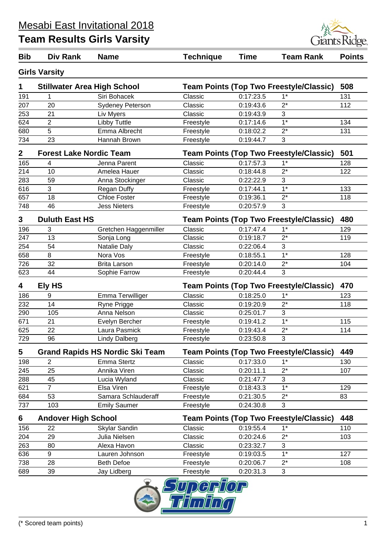

| <b>Bib</b>   | <b>Div Rank</b>                    | <b>Name</b>                            | <b>Technique</b>                               | <b>Time</b> | <b>Team Rank</b>                               | <b>Points</b> |
|--------------|------------------------------------|----------------------------------------|------------------------------------------------|-------------|------------------------------------------------|---------------|
|              | <b>Girls Varsity</b>               |                                        |                                                |             |                                                |               |
| 1            | <b>Stillwater Area High School</b> |                                        |                                                |             | <b>Team Points (Top Two Freestyle/Classic)</b> | 508           |
| 191          |                                    | Siri Bohacek                           | Classic                                        | 0:17:23.5   | $1*$                                           | 131           |
| 207          | 20                                 | Sydeney Peterson                       | Classic                                        | 0:19:43.6   | $2^*$                                          | 112           |
| 253          | 21                                 | Liv Myers                              | Classic                                        | 0:19:43.9   | 3                                              |               |
| 624          | $\overline{2}$                     | Libby Tuttle                           | Freestyle                                      | 0:17:14.6   | $1*$                                           | 134           |
| 680          | 5                                  | Emma Albrecht                          | Freestyle                                      | 0:18:02.2   | $2^*$                                          | 131           |
| 734          | 23                                 | Hannah Brown                           | Freestyle                                      | 0:19:44.7   | 3                                              |               |
| $\mathbf{2}$ | <b>Forest Lake Nordic Team</b>     |                                        | <b>Team Points (Top Two Freestyle/Classic)</b> |             |                                                | 501           |
| 165          | 4                                  | Jenna Parent                           | Classic                                        | 0:17:57.3   | $1*$                                           | 128           |
| 214          | 10                                 | Amelea Hauer                           | Classic                                        | 0:18:44.8   | $2^*$                                          | 122           |
| 283          | 59                                 | Anna Stockinger                        | Classic                                        | 0:22:22.9   | 3                                              |               |
| 616          | 3                                  | <b>Regan Duffy</b>                     | Freestyle                                      | 0:17:44.1   | $\overline{1^*}$                               | 133           |
| 657          | 18                                 | <b>Chloe Foster</b>                    | Freestyle                                      | 0:19:36.1   | $2^*$                                          | 118           |
| 748          | 46                                 | <b>Jess Nieters</b>                    | Freestyle                                      | 0:20:57.9   | 3                                              |               |
| 3            | <b>Duluth East HS</b>              |                                        |                                                |             | <b>Team Points (Top Two Freestyle/Classic)</b> | 480           |
| 196          | 3                                  | Gretchen Haggenmiller                  | Classic                                        | 0:17:47.4   | $1^*$                                          | 129           |
| 247          | 13                                 | Sonja Long                             | Classic                                        | 0:19:18.7   | $2^*$                                          | 119           |
| 254          | 54                                 | Natalie Daly                           | Classic                                        | 0:22:06.4   | 3                                              |               |
| 658          | 8                                  | Nora Vos                               | Freestyle                                      | 0:18:55.1   | $1*$                                           | 128           |
| 726          | 32                                 | <b>Brita Larson</b>                    | Freestyle                                      | 0:20:14.0   | $2^*$                                          | 104           |
| 623          | 44                                 | Sophie Farrow                          | Freestyle                                      | 0:20:44.4   | 3                                              |               |
| 4            | Ely HS                             |                                        |                                                |             | Team Points (Top Two Freestyle/Classic)        | 470           |
| 186          | 9                                  | Emma Terwilliger                       | Classic                                        | 0:18:25.0   | $1^*$                                          | 123           |
| 232          | 14                                 | Ryne Prigge                            | Classic                                        | 0:19:20.9   | $2^*$                                          | 118           |
| 290          | 105                                | Anna Nelson                            | Classic                                        | 0:25:01.7   | 3                                              |               |
| 671          | 21                                 | Evelyn Bercher                         | Freestyle                                      | 0:19:41.2   | $1*$                                           | 115           |
| 625          | 22                                 | Laura Pasmick                          | Freestyle                                      | 0:19:43.4   | $2^*$                                          | 114           |
| 729          | 96                                 | <b>Lindy Dalberg</b>                   | Freestyle                                      | 0:23:50.8   | 3                                              |               |
| 5            |                                    | <b>Grand Rapids HS Nordic Ski Team</b> |                                                |             | <b>Team Points (Top Two Freestyle/Classic)</b> | 449           |
| 198          | $\overline{2}$                     | Emma Stertz                            | Classic                                        | 0:17:33.0   | $1*$                                           | 130           |
| 245          | 25                                 | Annika Viren                           | Classic                                        | 0:20:11.1   | $2^*$                                          | 107           |
| 288          | 45                                 | Lucia Wyland                           | Classic                                        | 0:21:47.7   | 3                                              |               |
| 621          | $\overline{7}$                     | Elsa Viren                             | Freestyle                                      | 0:18:43.3   | $1*$                                           | 129           |
| 684          | 53                                 | Samara Schlauderaff                    | Freestyle                                      | 0:21:30.5   | $2^*$                                          | 83            |
| 737          | 103                                | <b>Emily Saumer</b>                    | Freestyle                                      | 0:24:30.8   | 3                                              |               |
| 6            | <b>Andover High School</b>         |                                        | <b>Team Points (Top Two Freestyle/Classic)</b> |             |                                                | 448           |
| 156          | 22                                 | Skylar Sandin                          | Classic                                        | 0:19:55.4   | $1*$                                           | 110           |
| 204          | 29                                 | Julia Nielsen                          | Classic                                        | 0:20:24.6   | $2^*$                                          | 103           |
| 263          | 80                                 | Alexa Havon                            | Classic                                        | 0:23:32.7   | 3                                              |               |
| 636          | 9                                  | Lauren Johnson                         | Freestyle                                      | 0:19:03.5   | $1*$                                           | 127           |
| 738          | 28                                 | <b>Beth Defoe</b>                      | Freestyle                                      | 0:20:06.7   | $2^*$                                          | 108           |
| 689          | 39                                 | Jay Lidberg                            | Freestyle                                      | 0:20:31.3   | 3                                              |               |

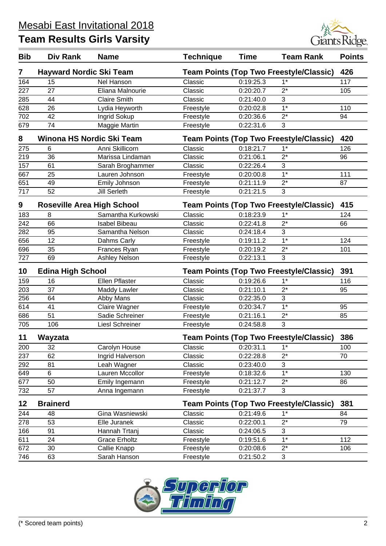| <b>Bib</b> | Div Rank                       | <b>Name</b>                       | <b>Technique</b> | <b>Time</b> | <b>Team Rank</b>                               | <b>Points</b> |
|------------|--------------------------------|-----------------------------------|------------------|-------------|------------------------------------------------|---------------|
| 7          | <b>Hayward Nordic Ski Team</b> |                                   |                  |             | <b>Team Points (Top Two Freestyle/Classic)</b> | 426           |
| 164        | 15                             | Nel Hanson                        | Classic          | 0:19:25.3   | $1*$                                           | 117           |
| 227        | 27                             | Eliana Malnourie                  | Classic          | 0:20:20.7   | $2^*$                                          | 105           |
| 285        | 44                             | <b>Claire Smith</b>               | Classic          | 0:21:40.0   | 3                                              |               |
| 628        | 26                             | Lydia Heyworth                    | Freestyle        | 0:20:02.8   | $1*$                                           | 110           |
| 702        | 42                             | Ingrid Sokup                      | Freestyle        | 0:20:36.6   | $2^*$                                          | 94            |
| 679        | 74                             | Maggie Martin                     | Freestyle        | 0:22:31.6   | 3                                              |               |
| 8          |                                | Winona HS Nordic Ski Team         |                  |             | <b>Team Points (Top Two Freestyle/Classic)</b> | 420           |
| 275        | 6                              | Anni Skillicorn                   | Classic          | 0:18:21.7   | $1*$                                           | 126           |
| 219        | 36                             | Marissa Lindaman                  | Classic          | 0:21:06.1   | $2^*$                                          | 96            |
| 157        | 61                             | Sarah Broghammer                  | Classic          | 0:22:26.4   | 3                                              |               |
| 667        | 25                             | Lauren Johnson                    | Freestyle        | 0:20:00.8   | $1*$                                           | 111           |
| 651        | 49                             | Emily Johnson                     | Freestyle        | 0:21:11.9   | $2^*$                                          | 87            |
| 717        | 52                             | <b>Jill Serleth</b>               | Freestyle        | 0:21:21.5   | 3                                              |               |
| 9          |                                | <b>Roseville Area High School</b> |                  |             | <b>Team Points (Top Two Freestyle/Classic)</b> | 415           |
| 183        | 8                              | Samantha Kurkowski                | Classic          | 0:18:23.9   | $1*$                                           | 124           |
| 242        | 66                             | <b>Isabel Bibeau</b>              | Classic          | 0:22:41.8   | $2^*$                                          | 66            |
| 282        | 95                             | Samantha Nelson                   | Classic          | 0:24:18.4   | 3                                              |               |
| 656        | 12                             | Dahms Carly                       | Freestyle        | 0:19:11.2   | $\overline{1^*}$                               | 124           |
| 696        | 35                             | Frances Ryan                      | Freestyle        | 0:20:19.2   | $2^*$                                          | 101           |
| 727        | 69                             | Ashley Nelson                     | Freestyle        | 0:22:13.1   | 3                                              |               |
| 10         | <b>Edina High School</b>       |                                   |                  |             | <b>Team Points (Top Two Freestyle/Classic)</b> | 391           |
| 159        | 16                             | Ellen Pflaster                    | Classic          | 0:19:26.6   | $1*$                                           | 116           |
| 203        | 37                             | Maddy Lawler                      | Classic          | 0:21:10.1   | $2^*$                                          | 95            |
| 256        | 64                             | Abby Mans                         | Classic          | 0:22:35.0   | 3                                              |               |
| 614        | 41                             | Claire Wagner                     | Freestyle        | 0:20:34.7   | $\overline{1^*}$                               | 95            |
| 686        | 51                             | Sadie Schreiner                   | Freestyle        | 0:21:16.1   | $2^*$                                          | 85            |
| 705        | 106                            | Liesl Schreiner                   | Freestyle        | 0:24:58.8   | 3                                              |               |
| 11         | <b>Wayzata</b>                 |                                   |                  |             | Team Points (Top Two Freestyle/Classic) 386    |               |
| 200        | 32                             | Carolyn House                     | Classic          | 0:20:31.1   | $1^*$                                          | 100           |
| 237        | 62                             | Ingrid Halverson                  | Classic          | 0:22:28.8   | $2^*$                                          | 70            |
| 292        | 81                             | Leah Wagner                       | Classic          | 0:23:40.0   | 3                                              |               |
| 649        | 6                              | Lauren Mccollor                   | Freestyle        | 0:18:32.6   | $\overline{1^*}$                               | 130           |
| 677        | 50                             | Emily Ingemann                    | Freestyle        | 0:21:12.7   | $2^*$                                          | 86            |
| 732        | 57                             | Anna Ingemann                     | Freestyle        | 0:21:37.7   | 3                                              |               |
| 12         | <b>Brainerd</b>                |                                   |                  |             | <b>Team Points (Top Two Freestyle/Classic)</b> | 381           |
| 244        | 48                             | Gina Wasniewski                   | Classic          | 0:21:49.6   | $1^*$                                          | 84            |
| 278        | 53                             | Elle Juranek                      | Classic          | 0:22:00.1   | $2^*$                                          | 79            |
| 166        | 91                             | Hannah Trtanj                     | Classic          | 0:24:06.5   | 3                                              |               |
| 611        | 24                             | <b>Grace Erholtz</b>              | Freestyle        | 0:19:51.6   | $1*$                                           | 112           |
| 672        | 30                             | Callie Knapp                      | Freestyle        | 0:20:08.6   | $2^*$                                          | 106           |
| 746        | 63                             | Sarah Hanson                      | Freestyle        | 0:21:50.2   | 3                                              |               |

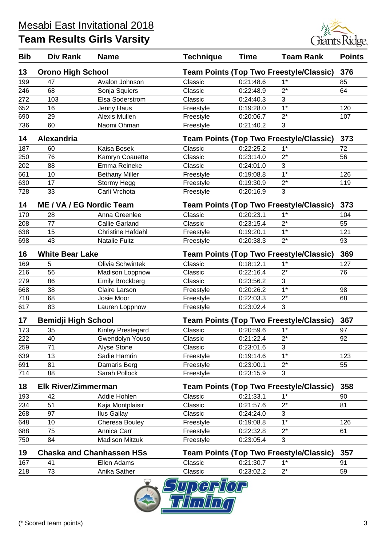

| <b>Bib</b> | Div Rank                                                                   | <b>Name</b>                      | <b>Technique</b> | <b>Time</b> | <b>Team Rank</b>                                        | <b>Points</b> |
|------------|----------------------------------------------------------------------------|----------------------------------|------------------|-------------|---------------------------------------------------------|---------------|
| 13         | <b>Orono High School</b>                                                   |                                  |                  |             | <b>Team Points (Top Two Freestyle/Classic)</b>          | 376           |
| 199        | 47                                                                         | Avalon Johnson                   | Classic          | 0:21:48.6   | $1*$                                                    | 85            |
| 246        | 68                                                                         | Sonja Squiers                    | Classic          | 0:22:48.9   | $2^*$                                                   | 64            |
| 272        | 103                                                                        | Elsa Soderstrom                  | Classic          | 0:24:40.3   | 3                                                       |               |
| 652        | 16                                                                         | Jenny Haus                       | Freestyle        | 0:19:28.0   | $1*$                                                    | 120           |
| 690        | 29                                                                         | Alexis Mullen                    | Freestyle        | 0:20:06.7   | $2^*$                                                   | 107           |
| 736        | 60                                                                         | Naomi Ohman                      | Freestyle        | 0:21:40.2   | 3                                                       |               |
| 14         | Alexandria                                                                 |                                  |                  |             | <b>Team Points (Top Two Freestyle/Classic)</b>          | 373           |
| 187        | 60                                                                         | Kaisa Bosek                      | Classic          | 0:22:25.2   | $1^*$                                                   | 72            |
| 250        | 76                                                                         | Kamryn Coauette                  | Classic          | 0:23:14.0   | $2^*$                                                   | 56            |
| 202        | 88                                                                         | Emma Reineke                     | Classic          | 0:24:01.0   | 3                                                       |               |
| 661        | 10                                                                         | <b>Bethany Miller</b>            | Freestyle        | 0:19:08.8   | $1*$                                                    | 126           |
| 630        | 17                                                                         | Stormy Hegg                      | Freestyle        | 0:19:30.9   | $2^*$                                                   | 119           |
| 728        | 33                                                                         | Carli Vrchota                    | Freestyle        | 0:20:16.9   | 3                                                       |               |
| 14         | ME / VA / EG Nordic Team<br><b>Team Points (Top Two Freestyle/Classic)</b> |                                  | 373              |             |                                                         |               |
| 170        | 28                                                                         | Anna Greenlee                    | Classic          | 0:20:23.1   | $1*$                                                    | 104           |
| 208        | 77                                                                         | <b>Callie Garland</b>            | Classic          | 0:23:15.4   | $2^*$                                                   | 55            |
| 638        | 15                                                                         | <b>Christine Hafdahl</b>         | Freestyle        | 0:19:20.1   | $1*$                                                    | 121           |
| 698        | 43                                                                         | <b>Natalie Fultz</b>             | Freestyle        | 0:20:38.3   | $\overline{2^*}$                                        | 93            |
|            |                                                                            |                                  |                  |             |                                                         |               |
| 16<br>169  | <b>White Bear Lake</b><br>5                                                | Olivia Schwintek                 | Classic          | 0:18:12.1   | <b>Team Points (Top Two Freestyle/Classic)</b><br>$1^*$ | 369<br>127    |
| 216        | 56                                                                         | Madison Loppnow                  | Classic          | 0:22:16.4   | $2^*$                                                   | 76            |
| 279        | 86                                                                         | <b>Emily Brockberg</b>           | Classic          | 0:23:56.2   | 3                                                       |               |
| 668        | 38                                                                         | Claire Larson                    | Freestyle        | 0:20:26.2   | $\overline{1^*}$                                        | 98            |
| 718        | 68                                                                         | Josie Moor                       | Freestyle        | 0:22:03.3   | $2^*$                                                   | 68            |
| 617        | 83                                                                         | Lauren Loppnow                   | Freestyle        | 0:23:02.4   | 3                                                       |               |
| 17         |                                                                            |                                  |                  |             | <b>Team Points (Top Two Freestyle/Classic)</b>          | 367           |
|            | <b>Bemidji High School</b>                                                 |                                  |                  |             | $1*$                                                    |               |
| 173        | 35                                                                         | Kinley Prestegard                | Classic          | 0:20:59.6   |                                                         | 97            |
| 222        | 40                                                                         | Gwendolyn Youso                  | Classic          | 0:21:22.4   | $2^*$                                                   | 92            |
| 259        | 71                                                                         | Alyse Stone                      | Classic          | 0:23:01.6   | 3<br>$1*$                                               |               |
| 639        | 13                                                                         | Sadie Hamrin                     | Freestyle        | 0:19:14.6   |                                                         | 123           |
| 691        | 81                                                                         | Damaris Berg                     | Freestyle        | 0:23:00.1   | $2^*$                                                   | 55            |
| 714        | 88                                                                         | Sarah Pollock                    | Freestyle        | 0:23:15.9   | 3                                                       |               |
| 18         | <b>Elk River/Zimmerman</b>                                                 |                                  |                  |             | <b>Team Points (Top Two Freestyle/Classic)</b>          | 358           |
| 193        | 42                                                                         | Addie Hohlen                     | Classic          | 0:21:33.1   | $1^*$                                                   | 90            |
| 234        | 51                                                                         | Kaja Montplaisir                 | Classic          | 0:21:57.6   | $2^*$                                                   | 81            |
| 268        | 97                                                                         | Ilus Gallay                      | Classic          | 0:24:24.0   | 3                                                       |               |
| 648        | 10                                                                         | Cheresa Bouley                   | Freestyle        | 0:19:08.8   | $1^*$                                                   | 126           |
| 688        | 75                                                                         | Annica Carr                      | Freestyle        | 0:22:32.8   | $2^*$                                                   | 61            |
| 750        | 84                                                                         | <b>Madison Mitzuk</b>            | Freestyle        | 0:23:05.4   | 3                                                       |               |
| 19         |                                                                            | <b>Chaska and Chanhassen HSs</b> |                  |             | <b>Team Points (Top Two Freestyle/Classic)</b>          | 357           |
| 167        | 41                                                                         | Ellen Adams                      | Classic          | 0:21:30.7   | $1*$                                                    | 91            |
| 218        | 73                                                                         | Anika Sather                     | Classic          | 0:23:02.2   | $2^*$                                                   | 59            |
|            |                                                                            | ◒                                | $ \sqrt{n}$      | 75 an       |                                                         |               |

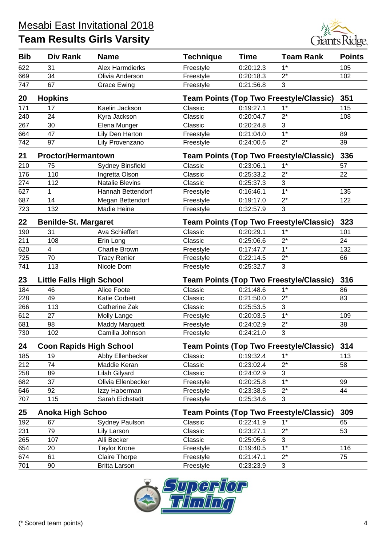

| <b>Bib</b> | <b>Div Rank</b>                 | <b>Name</b>             | <b>Technique</b>                               | <b>Time</b>                                    | <b>Team Rank</b>                               | <b>Points</b> |  |
|------------|---------------------------------|-------------------------|------------------------------------------------|------------------------------------------------|------------------------------------------------|---------------|--|
| 622        | 31                              | <b>Alex Harmdierks</b>  | Freestyle                                      | 0:20:12.3                                      | $1*$                                           | 105           |  |
| 669        | 34                              | Olivia Anderson         | Freestyle                                      | 0:20:18.3                                      | $\overline{2^*}$                               | 102           |  |
| 747        | 67                              | <b>Grace Ewing</b>      | Freestyle                                      | 0:21:56.8                                      | 3                                              |               |  |
| 20         | <b>Hopkins</b>                  |                         |                                                |                                                | <b>Team Points (Top Two Freestyle/Classic)</b> | 351           |  |
| 171        | 17                              | Kaelin Jackson          | Classic                                        | 0:19:27.1                                      | $1^*$                                          | 115           |  |
| 240        | 24                              | Kyra Jackson            | Classic                                        | 0:20:04.7                                      | $2^*$                                          | 108           |  |
| 267        | 30                              | Elena Munger            | Classic                                        | 0:20:24.8                                      | 3                                              |               |  |
| 664        | 47                              | Lily Den Harton         | Freestyle                                      | 0:21:04.0                                      | $\overline{1^*}$                               | 89            |  |
| 742        | 97                              | Lily Provenzano         | Freestyle                                      | 0:24:00.6                                      | $2^*$                                          | 39            |  |
| 21         | <b>Proctor/Hermantown</b>       |                         |                                                | <b>Team Points (Top Two Freestyle/Classic)</b> |                                                |               |  |
| 210        | 75                              | <b>Sydney Binsfield</b> | Classic                                        | 0:23:06.1                                      | $1^*$                                          | 57            |  |
| 176        | 110                             | Ingretta Olson          | Classic                                        | 0:25:33.2                                      | $2^*$                                          | 22            |  |
| 274        | 112                             | Natalie Blevins         | Classic                                        | 0:25:37.3                                      | 3                                              |               |  |
| 627        | 1                               | Hannah Bettendorf       | Freestyle                                      | 0:16:46.1                                      | $1*$                                           | 135           |  |
| 687        | 14                              | Megan Bettendorf        | Freestyle                                      | 0:19:17.0                                      | $2^*$                                          | 122           |  |
| 723        | 132                             | <b>Madie Heine</b>      | Freestyle                                      | 0:32:57.9                                      | 3                                              |               |  |
| 22         | <b>Benilde-St. Margaret</b>     |                         | <b>Team Points (Top Two Freestyle/Classic)</b> |                                                | 323                                            |               |  |
| 190        | 31                              | Ava Schieffert          | Classic                                        | 0:20:29.1                                      | $1*$                                           | 101           |  |
| 211        | 108                             | Erin Long               | Classic                                        | 0:25:06.6                                      | $2^*$                                          | 24            |  |
| 620        | $\overline{4}$                  | <b>Charlie Brown</b>    | Freestyle                                      | 0:17:47.7                                      | $1*$                                           | 132           |  |
| 725        | 70                              | <b>Tracy Renier</b>     | Freestyle                                      | 0:22:14.5                                      | $2^*$                                          | 66            |  |
| 741        | 113                             | Nicole Dorn             | Freestyle                                      | 0:25:32.7                                      | 3                                              |               |  |
| 23         | <b>Little Falls High School</b> |                         |                                                |                                                | <b>Team Points (Top Two Freestyle/Classic)</b> | 316           |  |
| 184        | 46                              | Alice Foote             | Classic                                        | 0:21:48.6                                      | $1^*$                                          | 86            |  |
| 228        | 49                              | <b>Katie Corbett</b>    | Classic                                        | 0:21:50.0                                      | $2^*$                                          | 83            |  |
| 266        | 113                             | Catherine Zak           | Classic                                        | 0:25:53.5                                      | 3                                              |               |  |
| 612        | 27                              | Molly Lange             | Freestyle                                      | 0:20:03.5                                      | $1*$                                           | 109           |  |
| 681        | 98                              | <b>Maddy Marquett</b>   | Freestyle                                      | 0:24:02.9                                      | $2^*$                                          | 38            |  |
| 730        | 102                             | Camilla Johnson         | Freestyle                                      | 0:24:21.0                                      | 3                                              |               |  |
| 24         | <b>Coon Rapids High School</b>  |                         |                                                |                                                | <b>Team Points (Top Two Freestyle/Classic)</b> | 314           |  |
| 185        | 19                              | Abby Ellenbecker        | Classic                                        | 0:19:32.4                                      | $1^*$                                          | 113           |  |
| 212        | 74                              | Maddie Keran            | Classic                                        | 0:23:02.4                                      | $2^\star$                                      | 58            |  |
| 258        | 89                              | Lilah Gilyard           | Classic                                        | 0:24:02.9                                      | 3                                              |               |  |
| 682        | 37                              | Olivia Ellenbecker      | Freestyle                                      | 0:20:25.8                                      | $1*$                                           | 99            |  |
| 646        | 92                              | Izzy Haberman           | Freestyle                                      | 0:23:38.5                                      | $2^*$                                          | 44            |  |
| 707        | 115                             | Sarah Eichstadt         | Freestyle                                      | 0:25:34.6                                      | 3                                              |               |  |
| 25         | <b>Anoka High Schoo</b>         |                         | <b>Team Points (Top Two Freestyle/Classic)</b> |                                                |                                                | 309           |  |
| 192        | 67                              | <b>Sydney Paulson</b>   | Classic                                        | 0:22:41.9                                      | $1*$                                           | 65            |  |
| 231        | 79                              | Lily Larson             | Classic                                        | 0:23:27.1                                      | $2^*$                                          | 53            |  |
| 265        | 107                             | Alli Becker             | Classic                                        | 0:25:05.6                                      | 3                                              |               |  |
| 654        | 20                              | <b>Taylor Krone</b>     | Freestyle                                      | 0:19:40.5                                      | $1*$                                           | 116           |  |
| 674        | 61                              | <b>Claire Thorpe</b>    | Freestyle                                      | 0:21:47.1                                      | $2^*$                                          | 75            |  |
| 701        | 90                              | <b>Britta Larson</b>    | Freestyle                                      | 0:23:23.9                                      | $\sqrt{3}$                                     |               |  |

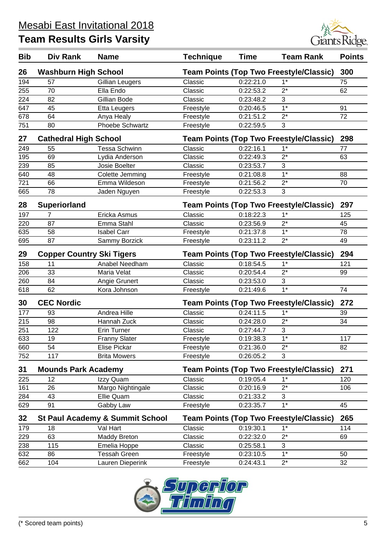

| <b>Bib</b>       | <b>Div Rank</b>                  | <b>Name</b>                                | <b>Technique</b>                               | <b>Time</b> | <b>Team Rank</b>                               | <b>Points</b> |
|------------------|----------------------------------|--------------------------------------------|------------------------------------------------|-------------|------------------------------------------------|---------------|
| 26               | <b>Washburn High School</b>      |                                            |                                                |             | Team Points (Top Two Freestyle/Classic)        | 300           |
| 194              | 57                               | Gillian Leugers                            | Classic                                        | 0:22:21.0   | $1*$                                           | 75            |
| 255              | 70                               | Ella Endo                                  | Classic                                        | 0:22:53.2   | $2^*$                                          | 62            |
| 224              | 82                               | Gillian Bode                               | Classic                                        | 0:23:48.2   | 3                                              |               |
| 647              | 45                               | <b>Etta Leugers</b>                        | Freestyle                                      | 0:20:46.5   | $1*$                                           | 91            |
| 678              | 64                               | Anya Healy                                 | Freestyle                                      | 0:21:51.2   | $2^*$                                          | 72            |
| 751              | 80                               | Phoebe Schwartz                            | Freestyle                                      | 0:22:59.5   | 3                                              |               |
| 27               | <b>Cathedral High School</b>     |                                            |                                                |             | <b>Team Points (Top Two Freestyle/Classic)</b> | 298           |
| 249              | 55                               | <b>Tessa Schwinn</b>                       | Classic                                        | 0:22:16.1   | $1*$                                           | 77            |
| 195              | 69                               | Lydia Anderson                             | Classic                                        | 0:22:49.3   | $2^*$                                          | 63            |
| 239              | 85                               | Josie Boelter                              | Classic                                        | 0:23:53.7   | 3                                              |               |
| 640              | 48                               | Colette Jemming                            | Freestyle                                      | 0:21:08.8   | $1*$                                           | 88            |
| $\overline{721}$ | 66                               | Emma Wildeson                              | Freestyle                                      | 0:21:56.2   | $\overline{2^*}$                               | 70            |
| 665              | 78                               | Jaden Nguyen                               | Freestyle                                      | 0:22:53.3   | 3                                              |               |
| 28               | <b>Superiorland</b>              |                                            |                                                |             | <b>Team Points (Top Two Freestyle/Classic)</b> | 297           |
| 197              | 7                                | Ericka Asmus                               | Classic                                        | 0:18:22.3   | $1*$                                           | 125           |
| 220              | 87                               | Emma Stahl                                 | Classic                                        | 0:23:56.9   | $2^*$                                          | 45            |
| 635              | 58                               | <b>Isabel Carr</b>                         | Freestyle                                      | 0:21:37.8   | $1*$                                           | 78            |
| 695              | 87                               | Sammy Borzick                              | Freestyle                                      | 0:23:11.2   | $2^*$                                          | 49            |
| 29               | <b>Copper Country Ski Tigers</b> |                                            | <b>Team Points (Top Two Freestyle/Classic)</b> |             |                                                | 294           |
| 158              | 11                               | Anabel Needham                             | Classic                                        | 0:18:54.5   | $1*$                                           | 121           |
| 206              | 33                               | Maria Velat                                | Classic                                        | 0:20:54.4   | $\overline{2^*}$                               | 99            |
| 260              | 84                               | Angie Grunert                              | Classic                                        | 0:23:53.0   | 3                                              |               |
| 618              | 62                               | Kora Johnson                               | Freestyle                                      | 0:21:49.6   | $\overline{1^*}$                               | 74            |
| 30               | <b>CEC Nordic</b>                |                                            |                                                |             | <b>Team Points (Top Two Freestyle/Classic)</b> | 272           |
| 177              | 93                               | Andrea Hille                               | Classic                                        | 0:24:11.5   | $1^*$                                          | 39            |
| 215              | 98                               | Hannah Zuck                                | Classic                                        | 0:24:28.0   | $2^*$                                          | 34            |
| 251              | 122                              | <b>Erin Turner</b>                         | Classic                                        | 0:27:44.7   | 3                                              |               |
| 633              | 19                               | <b>Franny Slater</b>                       | Freestyle                                      | 0:19:38.3   | $1*$                                           | 117           |
| 660              | 54                               | <b>Elise Pickar</b>                        | Freestyle                                      | 0:21:36.0   | $2^*$                                          | 82            |
| 752              | 117                              | <b>Brita Mowers</b>                        | Freestyle                                      | 0:26:05.2   | 3                                              |               |
| 31               | <b>Mounds Park Academy</b>       |                                            |                                                |             | <b>Team Points (Top Two Freestyle/Classic)</b> | 271           |
| 225              | 12                               | Izzy Quam                                  | Classic                                        | 0:19:05.4   | $1*$                                           | 120           |
| 161              | 26                               | Margo Nightingale                          | Classic                                        | 0:20:16.9   | $2^*$                                          | 106           |
| 284              | 43                               | Ellie Quam                                 | Classic                                        | 0:21:33.2   | 3                                              |               |
| 629              | 91                               | Gabby Law                                  | Freestyle                                      | 0:23:35.7   | $1*$                                           | 45            |
| 32               |                                  | <b>St Paul Academy &amp; Summit School</b> |                                                |             | <b>Team Points (Top Two Freestyle/Classic)</b> | 265           |
| 179              | 18                               | Val Hart                                   | Classic                                        | 0:19:30.1   | $1*$                                           | 114           |
| 229              | 63                               | Maddy Breton                               | Classic                                        | 0:22:32.0   | $2^*$                                          | 69            |
| 238              | 115                              | Emelia Hoppe                               | Classic                                        | 0:25:58.1   | 3                                              |               |
| 632              | 86                               | <b>Tessah Green</b>                        | Freestyle                                      | 0:23:10.5   | $1^*$                                          | 50            |
| 662              | 104                              | Lauren Dieperink                           | Freestyle                                      | 0:24:43.1   | $2^*$                                          | 32            |

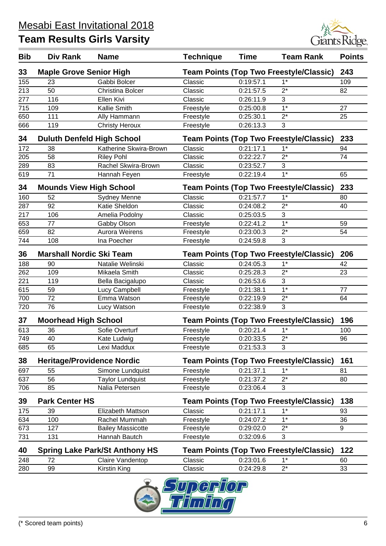

| <b>Bib</b> | Div Rank                                | <b>Name</b>                           | <b>Technique</b> | <b>Time</b> | <b>Team Rank</b>                                        | <b>Points</b> |
|------------|-----------------------------------------|---------------------------------------|------------------|-------------|---------------------------------------------------------|---------------|
| 33         | <b>Maple Grove Senior High</b>          |                                       |                  |             | <b>Team Points (Top Two Freestyle/Classic)</b>          | 243           |
| 155        | 23                                      | Gabbi Bolcer                          | Classic          | 0:19:57.1   | $1*$                                                    | 109           |
| 213        | 50                                      | Christina Bolcer                      | Classic          | 0:21:57.5   | $2^*$                                                   | 82            |
| 277        | 116                                     | Ellen Kivi                            | Classic          | 0:26:11.9   | 3                                                       |               |
| 715        | 109                                     | Kallie Smith                          | Freestyle        | 0:25:00.8   | $1*$                                                    | 27            |
| 650        | 111                                     | Ally Hammann                          | Freestyle        | 0:25:30.1   | $2^*$                                                   | 25            |
| 666        | 119                                     | <b>Christy Heroux</b>                 | Freestyle        | 0:26:13.3   | 3                                                       |               |
| 34         | <b>Duluth Denfeld High School</b>       |                                       |                  |             | <b>Team Points (Top Two Freestyle/Classic)</b>          | 233           |
| 172        | 38                                      | Katherine Skwira-Brown                | Classic          | 0:21:17.1   | $1*$                                                    | 94            |
| 205        | 58                                      | <b>Riley Pohl</b>                     | Classic          | 0:22:22.7   | $2^*$                                                   | 74            |
| 289        | 83                                      | Rachel Skwira-Brown                   | Classic          | 0:23:52.7   | 3                                                       |               |
| 619        | 71                                      | Hannah Feyen                          | Freestyle        | 0:22:19.4   | $1*$                                                    | 65            |
| 34         | <b>Mounds View High School</b>          |                                       |                  |             | <b>Team Points (Top Two Freestyle/Classic)</b>          | 233           |
| 160        | 52                                      | <b>Sydney Menne</b>                   | Classic          | 0:21:57.7   | $1^*$                                                   | 80            |
| 287        | 92                                      | Katie Sheldon                         | Classic          | 0:24:08.2   | $2^*$                                                   | 40            |
| 217        | 106                                     | Amelia Podolny                        | Classic          | 0:25:03.5   | 3                                                       |               |
| 653        | 77                                      | Gabby Olson                           | Freestyle        | 0:22:41.2   | $\overline{1^*}$                                        | 59            |
| 659        | 82                                      | <b>Aurora Weirens</b>                 | Freestyle        | 0:23:00.3   | $2^*$                                                   | 54            |
| 744        | 108                                     | Ina Poecher                           | Freestyle        | 0:24:59.8   | 3                                                       |               |
| 36         | <b>Marshall Nordic Ski Team</b>         |                                       |                  |             | <b>Team Points (Top Two Freestyle/Classic)</b>          | 206           |
| 188        | 90                                      | Natalie Welinski                      | Classic          | 0:24:05.3   | $1^*$                                                   | 42            |
| 262        | 109                                     | Mikaela Smith                         | Classic          | 0:25:28.3   | $2^*$                                                   | 23            |
| 221        | 119                                     | Bella Bacigalupo                      | Classic          | 0:26:53.6   | 3                                                       |               |
| 615        | 59                                      | Lucy Campbell                         | Freestyle        | 0:21:38.1   | $1*$                                                    | 77            |
| 700        | 72                                      | Emma Watson                           | Freestyle        | 0:22:19.9   | $2^*$                                                   | 64            |
| 720        | 76                                      | Lucy Watson                           | Freestyle        | 0:22:38.9   | 3                                                       |               |
| 37         | <b>Moorhead High School</b>             |                                       |                  |             | <b>Team Points (Top Two Freestyle/Classic)</b>          | 196           |
| 613        | 36                                      | Sofie Overturf                        | Freestyle        | 0:20:21.4   | $1*$                                                    | 100           |
| 749        | 40                                      | Kate Ludwig                           | Freestyle        | 0:20:33.5   | つ*                                                      | 96            |
| 685        | 65                                      | Lexi Maddux                           | Freestyle        | 0:21:53.3   | 3                                                       |               |
|            |                                         |                                       |                  |             |                                                         |               |
| 38<br>697  | <b>Heritage/Providence Nordic</b><br>55 | Simone Lundquist                      | Freestyle        | 0:21:37.1   | <b>Team Points (Top Two Freestyle/Classic)</b><br>$1^*$ | 161<br>81     |
| 637        | 56                                      | <b>Taylor Lundquist</b>               | Freestyle        | 0:21:37.2   | $2^*$                                                   | 80            |
| 706        | 85                                      | Nalia Petersen                        | Freestyle        | 0:23:06.4   | 3                                                       |               |
| 39         | <b>Park Center HS</b>                   |                                       |                  |             | <b>Team Points (Top Two Freestyle/Classic)</b>          | 138           |
| 175        | 39                                      | Elizabeth Mattson                     | Classic          | 0:21:17.1   | $1^*$                                                   | 93            |
| 634        | 100                                     | Rachel Mummah                         | Freestyle        | 0:24:07.2   | $1^*$                                                   | 36            |
| 673        | 127                                     | <b>Bailey Massicotte</b>              | Freestyle        | 0:29:02.0   | $2^*$                                                   | 9             |
| 731        | 131                                     | Hannah Bautch                         | Freestyle        | 0:32:09.6   | 3                                                       |               |
| 40         |                                         | <b>Spring Lake Park/St Anthony HS</b> |                  |             | <b>Team Points (Top Two Freestyle/Classic)</b>          | 122           |
| 248        | 72                                      | Claire Vandentop                      | Classic          | 0:23:01.6   | $1*$                                                    | 60            |
| 280        | 99                                      | Kirstin King                          | Classic          | 0:24:29.8   | $2^*$                                                   | 33            |
|            |                                         |                                       | ౼                |             |                                                         |               |

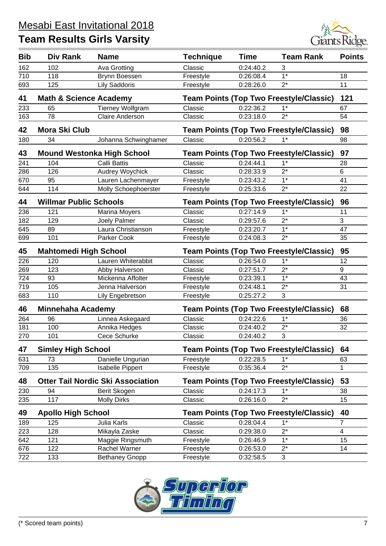

| <b>Bib</b> | Div Rank                          | <b>Name</b>                              | <b>Technique</b> | <b>Time</b> | <b>Team Rank</b>                               | <b>Points</b>           |
|------------|-----------------------------------|------------------------------------------|------------------|-------------|------------------------------------------------|-------------------------|
| 162        | 102                               | Ava Grotting                             | Classic          | 0:24:40.2   | 3                                              |                         |
| 710        | 118                               | Brynn Boessen                            | Freestyle        | 0:26:08.4   | $\overline{1^*}$                               | 18                      |
| 693        | 125                               | <b>Lily Saddoris</b>                     | Freestyle        | 0:28:26.0   | $2^*$                                          | 11                      |
| 41         | <b>Math &amp; Science Academy</b> |                                          |                  |             | <b>Team Points (Top Two Freestyle/Classic)</b> | 121                     |
| 233        | 65                                | <b>Tierney Wolfgram</b>                  | Classic          | 0:22:36.2   | $1^*$                                          | 67                      |
| 163        | 78                                | <b>Claire Anderson</b>                   | Classic          | 0:23:18.0   | $2^*$                                          | 54                      |
| 42         | <b>Mora Ski Club</b>              |                                          |                  |             | <b>Team Points (Top Two Freestyle/Classic)</b> | 98                      |
| 180        | 34                                | Johanna Schwinghamer                     | Classic          | 0:20:56.2   | $1^*$                                          | 98                      |
| 43         |                                   | <b>Mound Westonka High School</b>        |                  |             | <b>Team Points (Top Two Freestyle/Classic)</b> | 97                      |
| 241        | 104                               | <b>Calli Battis</b>                      | Classic          | 0:24:44.1   | $1*$                                           | 28                      |
| 286        | 126                               | <b>Audrey Woychick</b>                   | Classic          | 0:28:33.9   | $2^*$                                          | 6                       |
| 670        | 95                                | Lauren Lachenmayer                       | Freestyle        | 0:23:43.2   | $1*$                                           | 41                      |
| 644        | 114                               | Molly Schoephoerster                     | Freestyle        | 0:25:33.6   | $2^*$                                          | 22                      |
| 44         | <b>Willmar Public Schools</b>     |                                          |                  |             | <b>Team Points (Top Two Freestyle/Classic)</b> | 96                      |
| 236        | 121                               | <b>Marina Moyers</b>                     | Classic          | 0:27:14.9   | $1*$                                           | 11                      |
| 182        | 129                               | Joely Palmer                             | Classic          | 0:29:57.6   | $\overline{2^*}$                               | 3                       |
| 645        | 89                                | Laura Christianson                       | Freestyle        | 0:23:20.7   | $1*$                                           | 47                      |
| 699        | 101                               | Parker Cook                              | Freestyle        | 0:24:08.3   | $2^*$                                          | 35                      |
| 45         | <b>Mahtomedi High School</b>      |                                          |                  |             | <b>Team Points (Top Two Freestyle/Classic)</b> | 95                      |
| 226        | 120                               | Lauren Whiterabbit                       | Classic          | 0:26:54.0   | $1*$                                           | 12                      |
| 269        | 123                               | Abby Halverson                           | Classic          | 0:27:51.7   | $2^*$                                          | 9                       |
| 724        | 93                                | Mickenna Affolter                        | Freestyle        | 0:23:39.1   | $\overline{1^*}$                               | 43                      |
| 719        | 105                               | Jenna Halverson                          | Freestyle        | 0:24:48.1   | $2^*$                                          | 31                      |
| 683        | 110                               | Lily Engebretson                         | Freestyle        | 0:25:27.2   | 3                                              |                         |
| 46         | <b>Minnehaha Academy</b>          |                                          |                  |             | <b>Team Points (Top Two Freestyle/Classic)</b> | 68                      |
| 264        | 96                                | Linnea Askegaard                         | Classic          | 0:24:22.6   | $1*$                                           | 36                      |
| 181        | 100                               | Annika Hedges                            | Classic          | 0:24:40.2   | $2^*$                                          | 32                      |
| 270        | 101                               | Cece Schurke                             | Classic          | 0:24:40.2   | 3                                              |                         |
| 47         | <b>Simley High School</b>         |                                          |                  |             | <b>Team Points (Top Two Freestyle/Classic)</b> | 64                      |
| 631        | 73                                | Danielle Ungurian                        | Freestyle        | 0:22:28.5   | $1^*$                                          | 63                      |
| 709        | 135                               | <b>Isabelle Pippert</b>                  | Freestyle        | 0:35:36.4   | $2^*$                                          | 1                       |
| 48         |                                   | <b>Otter Tail Nordic Ski Association</b> |                  |             | <b>Team Points (Top Two Freestyle/Classic)</b> | 53                      |
| 230        | 94                                | Berit Skogen                             | Classic          | 0:24:17.3   | $1*$                                           | 38                      |
| 235        | 117                               | <b>Molly Dirks</b>                       | Classic          | 0:26:16.0   | $2^*$                                          | 15                      |
| 49         | <b>Apollo High School</b>         |                                          |                  |             | <b>Team Points (Top Two Freestyle/Classic)</b> | 40                      |
| 189        | 125                               | Julia Karls                              | Classic          | 0:28:04.4   | $1*$                                           | $\overline{7}$          |
| 223        | 128                               | Mikayla Zaske                            | Classic          | 0:29:38.0   | $2^*$                                          | $\overline{\mathbf{4}}$ |
| 642        | 121                               | Maggie Ringsmuth                         | Freestyle        | 0:26:46.9   | $1*$                                           | 15                      |
| 676        | 122                               | Rachel Warner                            | Freestyle        | 0:26:53.0   | $2^*$                                          | 14                      |
| 722        | 133                               | <b>Bethaney Gnopp</b>                    | Freestyle        | 0:32:58.5   | 3                                              |                         |